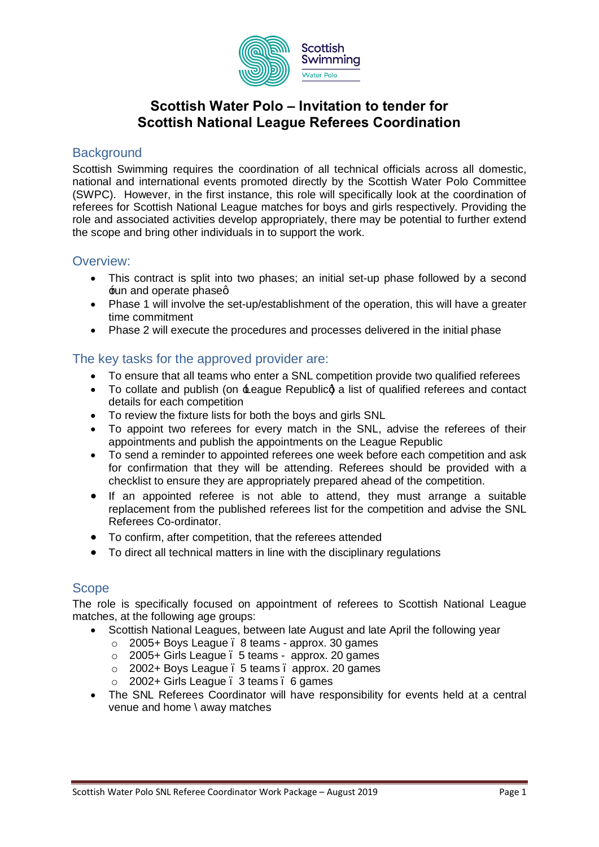

# **Scottish Water Polo – Invitation to tender for Scottish National League Referees Coordination**

#### **Background**

Scottish Swimming requires the coordination of all technical officials across all domestic, national and international events promoted directly by the Scottish Water Polo Committee (SWPC). However, in the first instance, this role will specifically look at the coordination of referees for Scottish National League matches for boys and girls respectively. Providing the role and associated activities develop appropriately, there may be potential to further extend the scope and bring other individuals in to support the work.

# Overview:

- · This contract is split into two phases; an initial set-up phase followed by a second **Eun and operate phased**
- · Phase 1 will involve the set-up/establishment of the operation, this will have a greater time commitment
- · Phase 2 will execute the procedures and processes delivered in the initial phase

# The key tasks for the approved provider are:

- · To ensure that all teams who enter a SNL competition provide two qualified referees
- To collate and publish (on  $\pm$ eague Republicg a list of qualified referees and contact details for each competition
- · To review the fixture lists for both the boys and girls SNL
- · To appoint two referees for every match in the SNL, advise the referees of their appointments and publish the appointments on the League Republic
- · To send a reminder to appointed referees one week before each competition and ask for confirmation that they will be attending. Referees should be provided with a checklist to ensure they are appropriately prepared ahead of the competition.
- If an appointed referee is not able to attend, they must arrange a suitable replacement from the published referees list for the competition and advise the SNL Referees Co-ordinator.
- · To confirm, after competition, that the referees attended
- · To direct all technical matters in line with the disciplinary regulations

#### Scope

The role is specifically focused on appointment of referees to Scottish National League matches, at the following age groups:

- Scottish National Leagues, between late August and late April the following year
	- o 2005+ Boys League 8 teams approx. 30 games
	- o 2005+ Girls League 5 teams approx. 20 games
	- o 2002+ Boys League 5 teams approx. 20 games
	- $\circ$  2002+ Girls League . 3 teams . 6 games
- · The SNL Referees Coordinator will have responsibility for events held at a central venue and home \ away matches